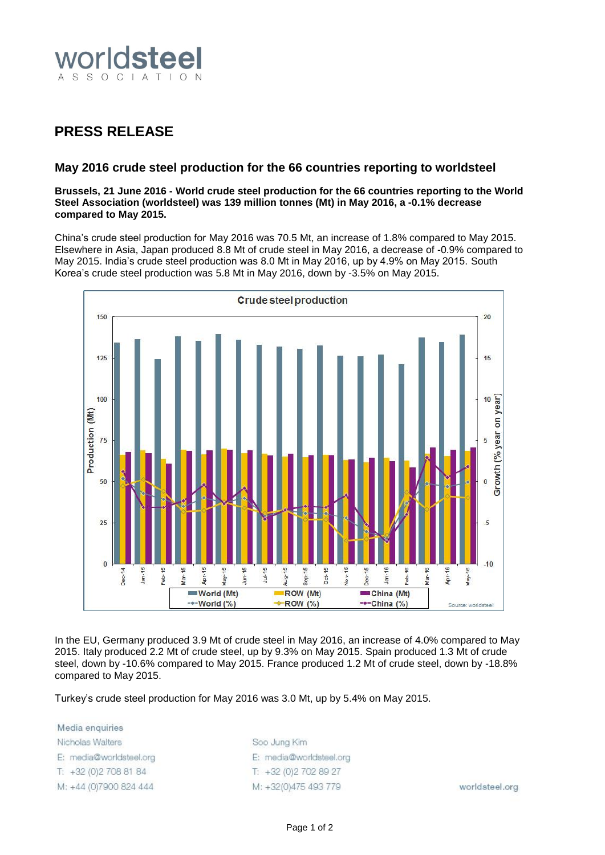

## **PRESS RELEASE**

## **May 2016 crude steel production for the 66 countries reporting to worldsteel**

**Brussels, 21 June 2016 - World crude steel production for the 66 countries reporting to the World Steel Association (worldsteel) was 139 million tonnes (Mt) in May 2016, a -0.1% decrease compared to May 2015.**

China's crude steel production for May 2016 was 70.5 Mt, an increase of 1.8% compared to May 2015. Elsewhere in Asia, Japan produced 8.8 Mt of crude steel in May 2016, a decrease of -0.9% compared to May 2015. India's crude steel production was 8.0 Mt in May 2016, up by 4.9% on May 2015. South Korea's crude steel production was 5.8 Mt in May 2016, down by -3.5% on May 2015.



In the EU, Germany produced 3.9 Mt of crude steel in May 2016, an increase of 4.0% compared to May 2015. Italy produced 2.2 Mt of crude steel, up by 9.3% on May 2015. Spain produced 1.3 Mt of crude steel, down by -10.6% compared to May 2015. France produced 1.2 Mt of crude steel, down by -18.8% compared to May 2015.

Turkey's crude steel production for May 2016 was 3.0 Mt, up by 5.4% on May 2015.

Media enquiries Nicholas Walters E: media@worldsteel.org T: +32 (0) 2 708 81 84 M: +44 (0)7900 824 444

Soo Jung Kim E: media@worldsteel.org T: +32 (0) 2 70 2 89 27 M: +32(0)475 493 779

worldsteel.org